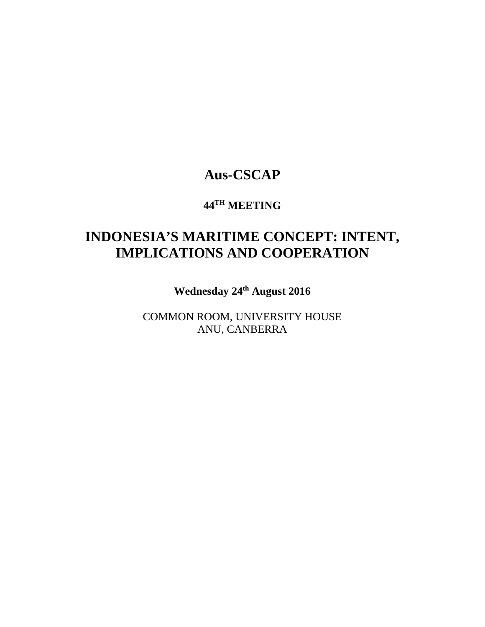# **Aus-CSCAP**

# **44TH MEETING**

# **INDONESIA'S MARITIME CONCEPT: INTENT, IMPLICATIONS AND COOPERATION**

**Wednesday 24th August 2016**

COMMON ROOM, UNIVERSITY HOUSE ANU, CANBERRA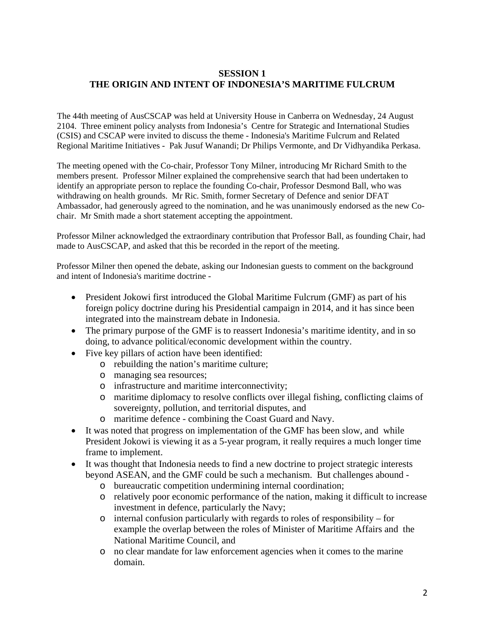### **SESSION 1 THE ORIGIN AND INTENT OF INDONESIA'S MARITIME FULCRUM**

The 44th meeting of AusCSCAP was held at University House in Canberra on Wednesday, 24 August 2104. Three eminent policy analysts from Indonesia's Centre for Strategic and International Studies (CSIS) and CSCAP were invited to discuss the theme - Indonesia's Maritime Fulcrum and Related Regional Maritime Initiatives - Pak Jusuf Wanandi; Dr Philips Vermonte, and Dr Vidhyandika Perkasa.

The meeting opened with the Co-chair, Professor Tony Milner, introducing Mr Richard Smith to the members present. Professor Milner explained the comprehensive search that had been undertaken to identify an appropriate person to replace the founding Co-chair, Professor Desmond Ball, who was withdrawing on health grounds. Mr Ric. Smith, former Secretary of Defence and senior DFAT Ambassador, had generously agreed to the nomination, and he was unanimously endorsed as the new Cochair. Mr Smith made a short statement accepting the appointment.

Professor Milner acknowledged the extraordinary contribution that Professor Ball, as founding Chair, had made to AusCSCAP, and asked that this be recorded in the report of the meeting.

Professor Milner then opened the debate, asking our Indonesian guests to comment on the background and intent of Indonesia's maritime doctrine -

- President Jokowi first introduced the Global Maritime Fulcrum (GMF) as part of his foreign policy doctrine during his Presidential campaign in 2014, and it has since been integrated into the mainstream debate in Indonesia.
- The primary purpose of the GMF is to reassert Indonesia's maritime identity, and in so doing, to advance political/economic development within the country.
- Five key pillars of action have been identified:
	- o rebuilding the nation's maritime culture;
	- o managing sea resources;
	- o infrastructure and maritime interconnectivity;
	- o maritime diplomacy to resolve conflicts over illegal fishing, conflicting claims of sovereignty, pollution, and territorial disputes, and
	- o maritime defence combining the Coast Guard and Navy.
- It was noted that progress on implementation of the GMF has been slow, and while President Jokowi is viewing it as a 5-year program, it really requires a much longer time frame to implement.
- It was thought that Indonesia needs to find a new doctrine to project strategic interests beyond ASEAN, and the GMF could be such a mechanism. But challenges abound
	- o bureaucratic competition undermining internal coordination;
	- o relatively poor economic performance of the nation, making it difficult to increase investment in defence, particularly the Navy;
	- o internal confusion particularly with regards to roles of responsibility for example the overlap between the roles of Minister of Maritime Affairs and the National Maritime Council, and
	- o no clear mandate for law enforcement agencies when it comes to the marine domain.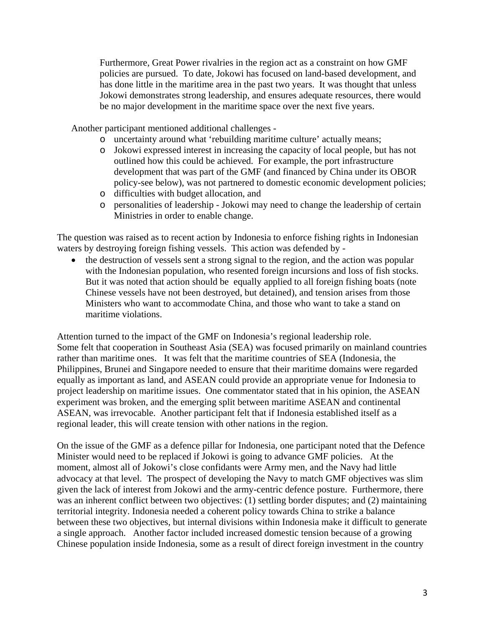Furthermore, Great Power rivalries in the region act as a constraint on how GMF policies are pursued. To date, Jokowi has focused on land-based development, and has done little in the maritime area in the past two years. It was thought that unless Jokowi demonstrates strong leadership, and ensures adequate resources, there would be no major development in the maritime space over the next five years.

Another participant mentioned additional challenges -

- o uncertainty around what 'rebuilding maritime culture' actually means;
- o Jokowi expressed interest in increasing the capacity of local people, but has not outlined how this could be achieved. For example, the port infrastructure development that was part of the GMF (and financed by China under its OBOR policy-see below), was not partnered to domestic economic development policies;
- o difficulties with budget allocation, and
- o personalities of leadership Jokowi may need to change the leadership of certain Ministries in order to enable change.

The question was raised as to recent action by Indonesia to enforce fishing rights in Indonesian waters by destroying foreign fishing vessels. This action was defended by -

• the destruction of vessels sent a strong signal to the region, and the action was popular with the Indonesian population, who resented foreign incursions and loss of fish stocks. But it was noted that action should be equally applied to all foreign fishing boats (note Chinese vessels have not been destroyed, but detained), and tension arises from those Ministers who want to accommodate China, and those who want to take a stand on maritime violations.

Attention turned to the impact of the GMF on Indonesia's regional leadership role. Some felt that cooperation in Southeast Asia (SEA) was focused primarily on mainland countries rather than maritime ones. It was felt that the maritime countries of SEA (Indonesia, the Philippines, Brunei and Singapore needed to ensure that their maritime domains were regarded equally as important as land, and ASEAN could provide an appropriate venue for Indonesia to project leadership on maritime issues. One commentator stated that in his opinion, the ASEAN experiment was broken, and the emerging split between maritime ASEAN and continental ASEAN, was irrevocable. Another participant felt that if Indonesia established itself as a regional leader, this will create tension with other nations in the region.

On the issue of the GMF as a defence pillar for Indonesia, one participant noted that the Defence Minister would need to be replaced if Jokowi is going to advance GMF policies. At the moment, almost all of Jokowi's close confidants were Army men, and the Navy had little advocacy at that level. The prospect of developing the Navy to match GMF objectives was slim given the lack of interest from Jokowi and the army-centric defence posture. Furthermore, there was an inherent conflict between two objectives: (1) settling border disputes; and (2) maintaining territorial integrity. Indonesia needed a coherent policy towards China to strike a balance between these two objectives, but internal divisions within Indonesia make it difficult to generate a single approach. Another factor included increased domestic tension because of a growing Chinese population inside Indonesia, some as a result of direct foreign investment in the country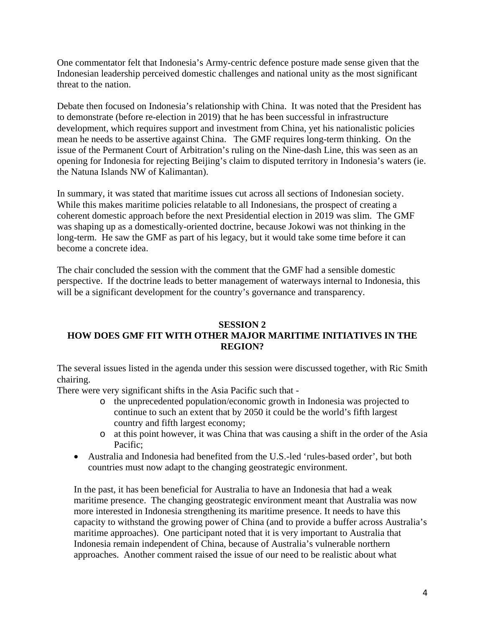One commentator felt that Indonesia's Army-centric defence posture made sense given that the Indonesian leadership perceived domestic challenges and national unity as the most significant threat to the nation.

Debate then focused on Indonesia's relationship with China. It was noted that the President has to demonstrate (before re-election in 2019) that he has been successful in infrastructure development, which requires support and investment from China, yet his nationalistic policies mean he needs to be assertive against China. The GMF requires long-term thinking. On the issue of the Permanent Court of Arbitration's ruling on the Nine-dash Line, this was seen as an opening for Indonesia for rejecting Beijing's claim to disputed territory in Indonesia's waters (ie. the Natuna Islands NW of Kalimantan).

In summary, it was stated that maritime issues cut across all sections of Indonesian society. While this makes maritime policies relatable to all Indonesians, the prospect of creating a coherent domestic approach before the next Presidential election in 2019 was slim. The GMF was shaping up as a domestically-oriented doctrine, because Jokowi was not thinking in the long-term. He saw the GMF as part of his legacy, but it would take some time before it can become a concrete idea.

The chair concluded the session with the comment that the GMF had a sensible domestic perspective. If the doctrine leads to better management of waterways internal to Indonesia, this will be a significant development for the country's governance and transparency.

## **SESSION 2 HOW DOES GMF FIT WITH OTHER MAJOR MARITIME INITIATIVES IN THE REGION?**

The several issues listed in the agenda under this session were discussed together, with Ric Smith chairing.

There were very significant shifts in the Asia Pacific such that -

- o the unprecedented population/economic growth in Indonesia was projected to continue to such an extent that by 2050 it could be the world's fifth largest country and fifth largest economy;
- o at this point however, it was China that was causing a shift in the order of the Asia Pacific;
- Australia and Indonesia had benefited from the U.S.-led 'rules-based order', but both countries must now adapt to the changing geostrategic environment.

In the past, it has been beneficial for Australia to have an Indonesia that had a weak maritime presence. The changing geostrategic environment meant that Australia was now more interested in Indonesia strengthening its maritime presence. It needs to have this capacity to withstand the growing power of China (and to provide a buffer across Australia's maritime approaches). One participant noted that it is very important to Australia that Indonesia remain independent of China, because of Australia's vulnerable northern approaches. Another comment raised the issue of our need to be realistic about what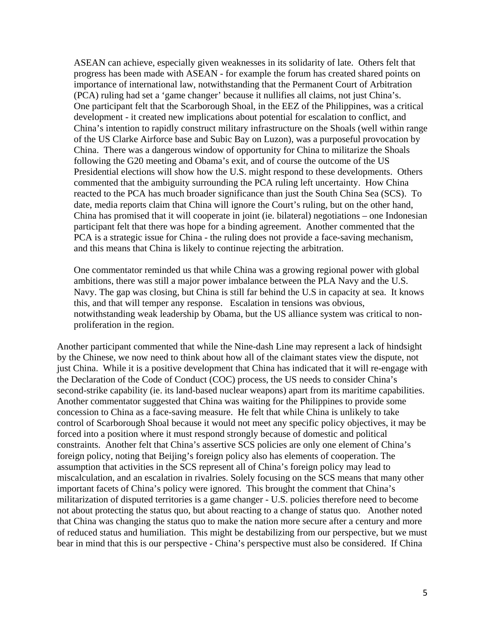ASEAN can achieve, especially given weaknesses in its solidarity of late. Others felt that progress has been made with ASEAN - for example the forum has created shared points on importance of international law, notwithstanding that the Permanent Court of Arbitration (PCA) ruling had set a 'game changer' because it nullifies all claims, not just China's. One participant felt that the Scarborough Shoal, in the EEZ of the Philippines, was a critical development - it created new implications about potential for escalation to conflict, and China's intention to rapidly construct military infrastructure on the Shoals (well within range of the US Clarke Airforce base and Subic Bay on Luzon), was a purposeful provocation by China. There was a dangerous window of opportunity for China to militarize the Shoals following the G20 meeting and Obama's exit, and of course the outcome of the US Presidential elections will show how the U.S. might respond to these developments. Others commented that the ambiguity surrounding the PCA ruling left uncertainty. How China reacted to the PCA has much broader significance than just the South China Sea (SCS). To date, media reports claim that China will ignore the Court's ruling, but on the other hand, China has promised that it will cooperate in joint (ie. bilateral) negotiations – one Indonesian participant felt that there was hope for a binding agreement. Another commented that the PCA is a strategic issue for China - the ruling does not provide a face-saving mechanism, and this means that China is likely to continue rejecting the arbitration.

One commentator reminded us that while China was a growing regional power with global ambitions, there was still a major power imbalance between the PLA Navy and the U.S. Navy. The gap was closing, but China is still far behind the U.S in capacity at sea. It knows this, and that will temper any response. Escalation in tensions was obvious, notwithstanding weak leadership by Obama, but the US alliance system was critical to nonproliferation in the region.

Another participant commented that while the Nine-dash Line may represent a lack of hindsight by the Chinese, we now need to think about how all of the claimant states view the dispute, not just China. While it is a positive development that China has indicated that it will re-engage with the Declaration of the Code of Conduct (COC) process, the US needs to consider China's second-strike capability (ie. its land-based nuclear weapons) apart from its maritime capabilities. Another commentator suggested that China was waiting for the Philippines to provide some concession to China as a face-saving measure. He felt that while China is unlikely to take control of Scarborough Shoal because it would not meet any specific policy objectives, it may be forced into a position where it must respond strongly because of domestic and political constraints. Another felt that China's assertive SCS policies are only one element of China's foreign policy, noting that Beijing's foreign policy also has elements of cooperation. The assumption that activities in the SCS represent all of China's foreign policy may lead to miscalculation, and an escalation in rivalries. Solely focusing on the SCS means that many other important facets of China's policy were ignored. This brought the comment that China's militarization of disputed territories is a game changer - U.S. policies therefore need to become not about protecting the status quo, but about reacting to a change of status quo. Another noted that China was changing the status quo to make the nation more secure after a century and more of reduced status and humiliation. This might be destabilizing from our perspective, but we must bear in mind that this is our perspective - China's perspective must also be considered. If China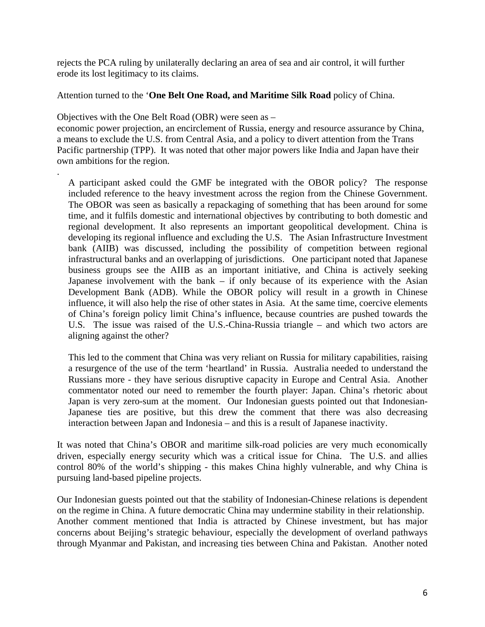rejects the PCA ruling by unilaterally declaring an area of sea and air control, it will further erode its lost legitimacy to its claims.

Attention turned to the '**One Belt One Road, and Maritime Silk Road** policy of China.

Objectives with the One Belt Road (OBR) were seen as –

.

economic power projection, an encirclement of Russia, energy and resource assurance by China, a means to exclude the U.S. from Central Asia, and a policy to divert attention from the Trans Pacific partnership (TPP). It was noted that other major powers like India and Japan have their own ambitions for the region.

A participant asked could the GMF be integrated with the OBOR policy? The response included reference to the heavy investment across the region from the Chinese Government. The OBOR was seen as basically a repackaging of something that has been around for some time, and it fulfils domestic and international objectives by contributing to both domestic and regional development. It also represents an important geopolitical development. China is developing its regional influence and excluding the U.S. The Asian Infrastructure Investment bank (AIIB) was discussed, including the possibility of competition between regional infrastructural banks and an overlapping of jurisdictions. One participant noted that Japanese business groups see the AIIB as an important initiative, and China is actively seeking Japanese involvement with the bank – if only because of its experience with the Asian Development Bank (ADB). While the OBOR policy will result in a growth in Chinese influence, it will also help the rise of other states in Asia. At the same time, coercive elements of China's foreign policy limit China's influence, because countries are pushed towards the U.S. The issue was raised of the U.S.-China-Russia triangle – and which two actors are aligning against the other?

This led to the comment that China was very reliant on Russia for military capabilities, raising a resurgence of the use of the term 'heartland' in Russia. Australia needed to understand the Russians more - they have serious disruptive capacity in Europe and Central Asia. Another commentator noted our need to remember the fourth player: Japan. China's rhetoric about Japan is very zero-sum at the moment. Our Indonesian guests pointed out that Indonesian-Japanese ties are positive, but this drew the comment that there was also decreasing interaction between Japan and Indonesia – and this is a result of Japanese inactivity.

It was noted that China's OBOR and maritime silk-road policies are very much economically driven, especially energy security which was a critical issue for China. The U.S. and allies control 80% of the world's shipping - this makes China highly vulnerable, and why China is pursuing land-based pipeline projects.

Our Indonesian guests pointed out that the stability of Indonesian-Chinese relations is dependent on the regime in China. A future democratic China may undermine stability in their relationship. Another comment mentioned that India is attracted by Chinese investment, but has major concerns about Beijing's strategic behaviour, especially the development of overland pathways through Myanmar and Pakistan, and increasing ties between China and Pakistan. Another noted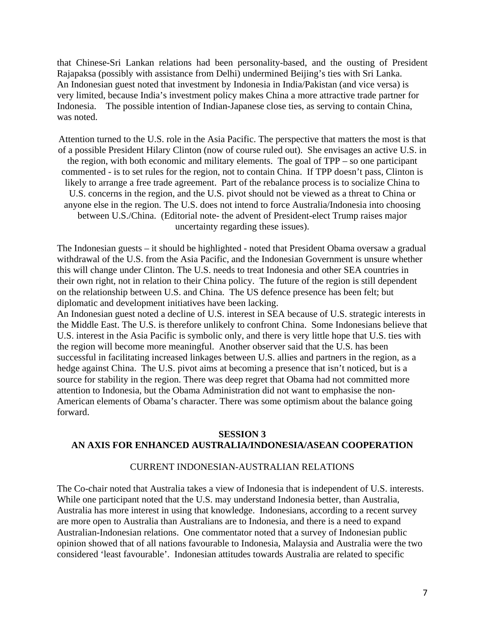that Chinese-Sri Lankan relations had been personality-based, and the ousting of President Rajapaksa (possibly with assistance from Delhi) undermined Beijing's ties with Sri Lanka. An Indonesian guest noted that investment by Indonesia in India/Pakistan (and vice versa) is very limited, because India's investment policy makes China a more attractive trade partner for Indonesia. The possible intention of Indian-Japanese close ties, as serving to contain China, was noted.

Attention turned to the U.S. role in the Asia Pacific. The perspective that matters the most is that of a possible President Hilary Clinton (now of course ruled out). She envisages an active U.S. in the region, with both economic and military elements. The goal of TPP – so one participant commented - is to set rules for the region, not to contain China. If TPP doesn't pass, Clinton is likely to arrange a free trade agreement. Part of the rebalance process is to socialize China to U.S. concerns in the region, and the U.S. pivot should not be viewed as a threat to China or anyone else in the region. The U.S. does not intend to force Australia/Indonesia into choosing between U.S./China. (Editorial note- the advent of President-elect Trump raises major uncertainty regarding these issues).

The Indonesian guests – it should be highlighted - noted that President Obama oversaw a gradual withdrawal of the U.S. from the Asia Pacific, and the Indonesian Government is unsure whether this will change under Clinton. The U.S. needs to treat Indonesia and other SEA countries in their own right, not in relation to their China policy. The future of the region is still dependent on the relationship between U.S. and China. The US defence presence has been felt; but diplomatic and development initiatives have been lacking.

An Indonesian guest noted a decline of U.S. interest in SEA because of U.S. strategic interests in the Middle East. The U.S. is therefore unlikely to confront China. Some Indonesians believe that U.S. interest in the Asia Pacific is symbolic only, and there is very little hope that U.S. ties with the region will become more meaningful. Another observer said that the U.S. has been successful in facilitating increased linkages between U.S. allies and partners in the region, as a hedge against China. The U.S. pivot aims at becoming a presence that isn't noticed, but is a source for stability in the region. There was deep regret that Obama had not committed more attention to Indonesia, but the Obama Administration did not want to emphasise the non-American elements of Obama's character. There was some optimism about the balance going forward.

### **SESSION 3 AN AXIS FOR ENHANCED AUSTRALIA/INDONESIA/ASEAN COOPERATION**

#### CURRENT INDONESIAN-AUSTRALIAN RELATIONS

The Co-chair noted that Australia takes a view of Indonesia that is independent of U.S. interests. While one participant noted that the U.S. may understand Indonesia better, than Australia, Australia has more interest in using that knowledge. Indonesians, according to a recent survey are more open to Australia than Australians are to Indonesia, and there is a need to expand Australian-Indonesian relations. One commentator noted that a survey of Indonesian public opinion showed that of all nations favourable to Indonesia, Malaysia and Australia were the two considered 'least favourable'. Indonesian attitudes towards Australia are related to specific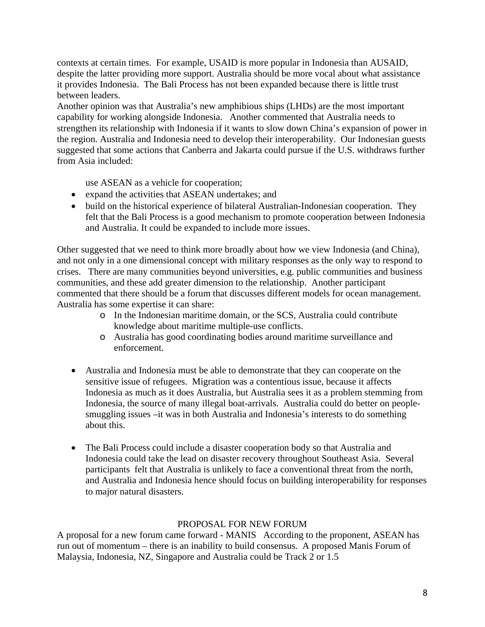contexts at certain times. For example, USAID is more popular in Indonesia than AUSAID, despite the latter providing more support. Australia should be more vocal about what assistance it provides Indonesia. The Bali Process has not been expanded because there is little trust between leaders.

Another opinion was that Australia's new amphibious ships (LHDs) are the most important capability for working alongside Indonesia. Another commented that Australia needs to strengthen its relationship with Indonesia if it wants to slow down China's expansion of power in the region. Australia and Indonesia need to develop their interoperability. Our Indonesian guests suggested that some actions that Canberra and Jakarta could pursue if the U.S. withdraws further from Asia included:

use ASEAN as a vehicle for cooperation;

- expand the activities that ASEAN undertakes; and
- build on the historical experience of bilateral Australian-Indonesian cooperation. They felt that the Bali Process is a good mechanism to promote cooperation between Indonesia and Australia. It could be expanded to include more issues.

Other suggested that we need to think more broadly about how we view Indonesia (and China), and not only in a one dimensional concept with military responses as the only way to respond to crises. There are many communities beyond universities, e.g. public communities and business communities, and these add greater dimension to the relationship. Another participant commented that there should be a forum that discusses different models for ocean management. Australia has some expertise it can share:

- o In the Indonesian maritime domain, or the SCS, Australia could contribute knowledge about maritime multiple-use conflicts.
- o Australia has good coordinating bodies around maritime surveillance and enforcement.
- Australia and Indonesia must be able to demonstrate that they can cooperate on the sensitive issue of refugees. Migration was a contentious issue, because it affects Indonesia as much as it does Australia, but Australia sees it as a problem stemming from Indonesia, the source of many illegal boat-arrivals. Australia could do better on peoplesmuggling issues –it was in both Australia and Indonesia's interests to do something about this.
- The Bali Process could include a disaster cooperation body so that Australia and Indonesia could take the lead on disaster recovery throughout Southeast Asia. Several participants felt that Australia is unlikely to face a conventional threat from the north, and Australia and Indonesia hence should focus on building interoperability for responses to major natural disasters.

### PROPOSAL FOR NEW FORUM

A proposal for a new forum came forward - MANIS According to the proponent, ASEAN has run out of momentum – there is an inability to build consensus. A proposed Manis Forum of Malaysia, Indonesia, NZ, Singapore and Australia could be Track 2 or 1.5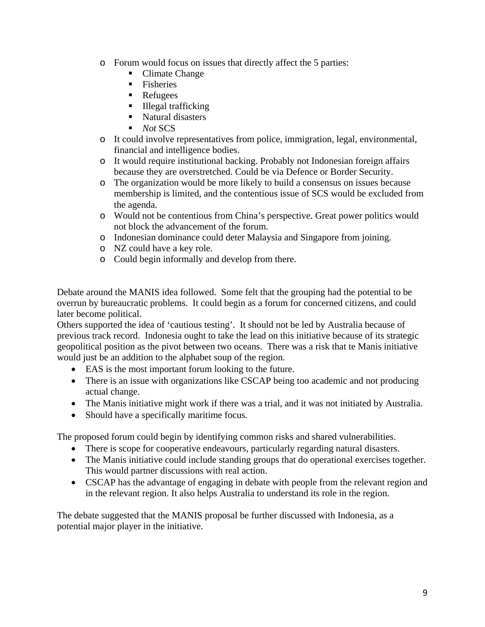- o Forum would focus on issues that directly affect the 5 parties:
	- Climate Change
	- $\blacksquare$  Fisheries
	- **Refugees**
	- $\blacksquare$  Illegal trafficking
	- Natural disasters
	- *Not* SCS
- o It could involve representatives from police, immigration, legal, environmental, financial and intelligence bodies.
- o It would require institutional backing. Probably not Indonesian foreign affairs because they are overstretched. Could be via Defence or Border Security.
- o The organization would be more likely to build a consensus on issues because membership is limited, and the contentious issue of SCS would be excluded from the agenda.
- o Would not be contentious from China's perspective. Great power politics would not block the advancement of the forum.
- o Indonesian dominance could deter Malaysia and Singapore from joining.
- o NZ could have a key role.
- o Could begin informally and develop from there.

Debate around the MANIS idea followed. Some felt that the grouping had the potential to be overrun by bureaucratic problems. It could begin as a forum for concerned citizens, and could later become political.

Others supported the idea of 'cautious testing'. It should not be led by Australia because of previous track record. Indonesia ought to take the lead on this initiative because of its strategic geopolitical position as the pivot between two oceans. There was a risk that te Manis initiative would just be an addition to the alphabet soup of the region.

- EAS is the most important forum looking to the future.
- There is an issue with organizations like CSCAP being too academic and not producing actual change.
- The Manis initiative might work if there was a trial, and it was not initiated by Australia.
- Should have a specifically maritime focus.

The proposed forum could begin by identifying common risks and shared vulnerabilities.

- There is scope for cooperative endeavours, particularly regarding natural disasters.
- The Manis initiative could include standing groups that do operational exercises together. This would partner discussions with real action.
- CSCAP has the advantage of engaging in debate with people from the relevant region and in the relevant region. It also helps Australia to understand its role in the region.

The debate suggested that the MANIS proposal be further discussed with Indonesia, as a potential major player in the initiative.